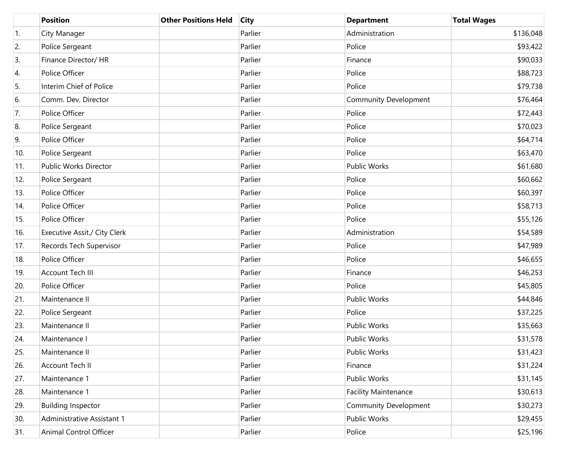|                  | <b>Position</b>              | <b>Other Positions Held</b> | <b>City</b> | <b>Department</b>            | <b>Total Wages</b> |
|------------------|------------------------------|-----------------------------|-------------|------------------------------|--------------------|
| $\overline{1}$ . | City Manager                 |                             | Parlier     | Administration               | \$136,048          |
| 2.               | Police Sergeant              |                             | Parlier     | Police                       | \$93,422           |
| 3.               | Finance Director/ HR         |                             | Parlier     | Finance                      | \$90,033           |
| 4.               | Police Officer               |                             | Parlier     | Police                       | \$88,723           |
| 5.               | Interim Chief of Police      |                             | Parlier     | Police                       | \$79,738           |
| 6.               | Comm. Dev. Director          |                             | Parlier     | <b>Community Development</b> | \$76,464           |
| 7.               | Police Officer               |                             | Parlier     | Police                       | \$72,443           |
| 8.               | Police Sergeant              |                             | Parlier     | Police                       | \$70,023           |
| 9.               | Police Officer               |                             | Parlier     | Police                       | \$64,714           |
| 10.              | Police Sergeant              |                             | Parlier     | Police                       | \$63,470           |
| 11.              | Public Works Director        |                             | Parlier     | <b>Public Works</b>          | \$61,680           |
| 12.              | Police Sergeant              |                             | Parlier     | Police                       | \$60,662           |
| 13.              | Police Officer               |                             | Parlier     | Police                       | \$60,397           |
| 14.              | Police Officer               |                             | Parlier     | Police                       | \$58,713           |
| 15.              | Police Officer               |                             | Parlier     | Police                       | \$55,126           |
| 16.              | Executive Assit./ City Clerk |                             | Parlier     | Administration               | \$54,589           |
| 17.              | Records Tech Supervisor      |                             | Parlier     | Police                       | \$47,989           |
| 18.              | Police Officer               |                             | Parlier     | Police                       | \$46,655           |
| 19.              | Account Tech III             |                             | Parlier     | Finance                      | \$46,253           |
| 20.              | Police Officer               |                             | Parlier     | Police                       | \$45,805           |
| 21.              | Maintenance II               |                             | Parlier     | Public Works                 | \$44,846           |
| 22.              | Police Sergeant              |                             | Parlier     | Police                       | \$37,225           |
| 23.              | Maintenance II               |                             | Parlier     | Public Works                 | \$35,663           |
| 24.              | Maintenance I                |                             | Parlier     | <b>Public Works</b>          | \$31,578           |
| 25.              | Maintenance II               |                             | Parlier     | Public Works                 | \$31,423           |
| 26.              | Account Tech II              |                             | Parlier     | Finance                      | \$31,224           |
| 27.              | Maintenance 1                |                             | Parlier     | Public Works                 | \$31,145           |
| 28.              | Maintenance 1                |                             | Parlier     | <b>Facility Maintenance</b>  | \$30,613           |
| 29.              | <b>Building Inspector</b>    |                             | Parlier     | <b>Community Development</b> | \$30,273           |
| 30.              | Administrative Assistant 1   |                             | Parlier     | <b>Public Works</b>          | \$29,455           |
| 31.              | Animal Control Officer       |                             | Parlier     | Police                       | \$25,196           |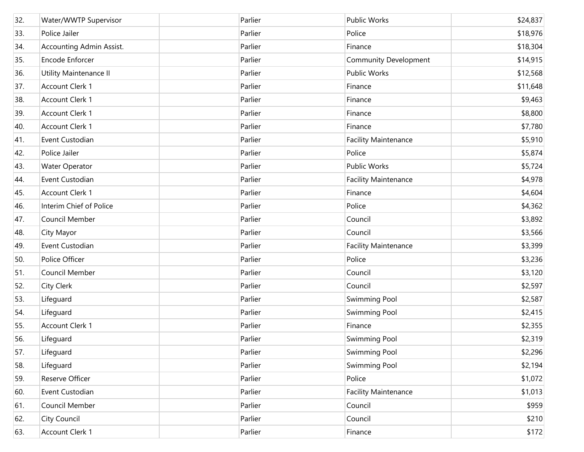| 32. | Water/WWTP Supervisor    | Parlier | Public Works                 | \$24,837 |
|-----|--------------------------|---------|------------------------------|----------|
| 33. | Police Jailer            | Parlier | Police                       | \$18,976 |
| 34. | Accounting Admin Assist. | Parlier | Finance                      | \$18,304 |
| 35. | Encode Enforcer          | Parlier | <b>Community Development</b> | \$14,915 |
| 36. | Utility Maintenance II   | Parlier | Public Works                 | \$12,568 |
| 37. | Account Clerk 1          | Parlier | Finance                      | \$11,648 |
| 38. | Account Clerk 1          | Parlier | Finance                      | \$9,463  |
| 39. | Account Clerk 1          | Parlier | Finance                      | \$8,800  |
| 40. | Account Clerk 1          | Parlier | Finance                      | \$7,780  |
| 41. | Event Custodian          | Parlier | <b>Facility Maintenance</b>  | \$5,910  |
| 42. | Police Jailer            | Parlier | Police                       | \$5,874  |
| 43. | Water Operator           | Parlier | Public Works                 | \$5,724  |
| 44. | Event Custodian          | Parlier | <b>Facility Maintenance</b>  | \$4,978  |
| 45. | Account Clerk 1          | Parlier | Finance                      | \$4,604  |
| 46. | Interim Chief of Police  | Parlier | Police                       | \$4,362  |
| 47. | Council Member           | Parlier | Council                      | \$3,892  |
| 48. | City Mayor               | Parlier | Council                      | \$3,566  |
| 49. | Event Custodian          | Parlier | <b>Facility Maintenance</b>  | \$3,399  |
| 50. | Police Officer           | Parlier | Police                       | \$3,236  |
| 51. | Council Member           | Parlier | Council                      | \$3,120  |
| 52. | <b>City Clerk</b>        | Parlier | Council                      | \$2,597  |
| 53. | Lifeguard                | Parlier | <b>Swimming Pool</b>         | \$2,587  |
| 54. | Lifeguard                | Parlier | <b>Swimming Pool</b>         | \$2,415  |
| 55. | Account Clerk 1          | Parlier | Finance                      | \$2,355  |
| 56. | Lifeguard                | Parlier | Swimming Pool                | \$2,319  |
| 57. | Lifeguard                | Parlier | Swimming Pool                | \$2,296  |
| 58. | Lifeguard                | Parlier | <b>Swimming Pool</b>         | \$2,194  |
| 59. | Reserve Officer          | Parlier | Police                       | \$1,072  |
| 60. | Event Custodian          | Parlier | <b>Facility Maintenance</b>  | \$1,013  |
| 61. | Council Member           | Parlier | Council                      | \$959    |
| 62. | City Council             | Parlier | Council                      | \$210    |
| 63. | Account Clerk 1          | Parlier | Finance                      | \$172    |